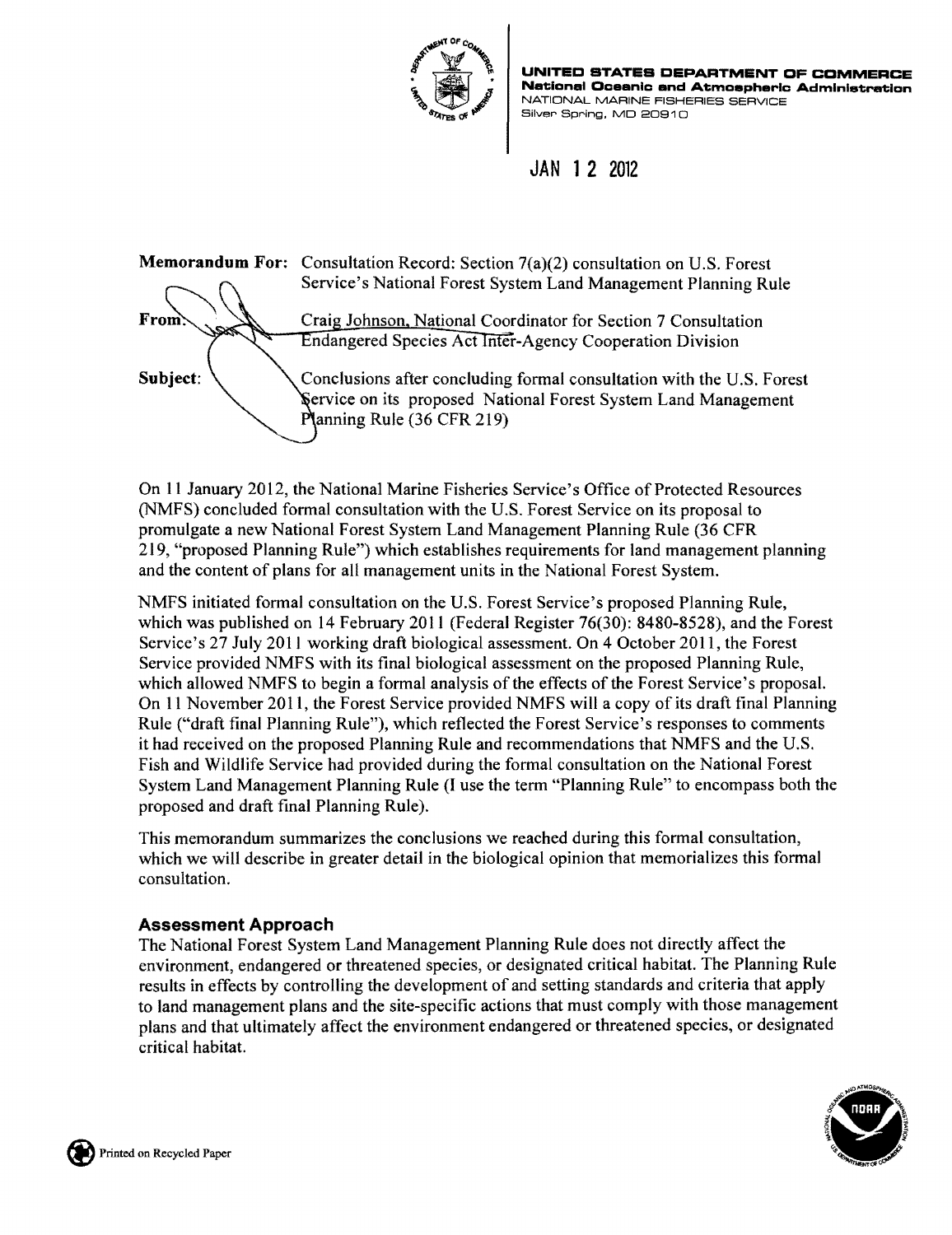

**UNITED STATES DEPARTMENT DF CDMMERCE National Ocaanlc and Atmoepherlc Admlnlatratlon**  NATIONAL MARINE FISHERIES SERVICE Silver Spring. MO 20910

JAN 1 2 2012



On 11 January 2012, the National Marine Fisheries Service's Office of Protected Resources (NMFS) concluded formal consultation with the U.S. Forest Service on its proposal to promulgate a new National Forest System Land Management Planning Rule (36 CFR 219, "proposed Planning Rule") which establishes requirements for land management planning and the content of plans for all management units in the National Forest System.

NMFS initiated formal consultation on the U.S. Forest Service's proposed Planning Rule, which was published on 14 February 2011 (Federal Register 76(30): 8480-8528), and the Forest Service's 27 July 2011 working draft biological assessment. On 4 October 20l1, the Forest Service provided NMFS with its final biological assessment on the proposed Planning Rule, which allowed NMFS to begin a formal analysis of the effects of the Forest Service's proposal. On 11 November 2011, the Forest Service provided NMFS will a copy of its draft final Planning Rule ("draft final Planning Rule"), which reflected the Forest Service's responses to comments it had received on the proposed Planning Rule and recommendations that NMFS and the U.S. Fish and Wildlife Service had provided during the formal consultation on the National Forest System Land Management Planning Rule (I use the term "Planning Rule" to encompass both the proposed and draft final Planning Rule).

This memorandum summarizes the conclusions we reached during this formal consultation, which we will describe in greater detail in the biological opinion that memorializes this formal consultation.

## Assessment Approach

The National Forest System Land Management Planning Rule does not directly affect the environment, endangered or threatened species, or designated critical habitat. The Planning Rule results in effects by controlling the development of and setting standards and criteria that apply to land management plans and the site-specific actions that must comply with those management plans and that ultimately affect the environment endangered or threatened species, or designated critical habitat.

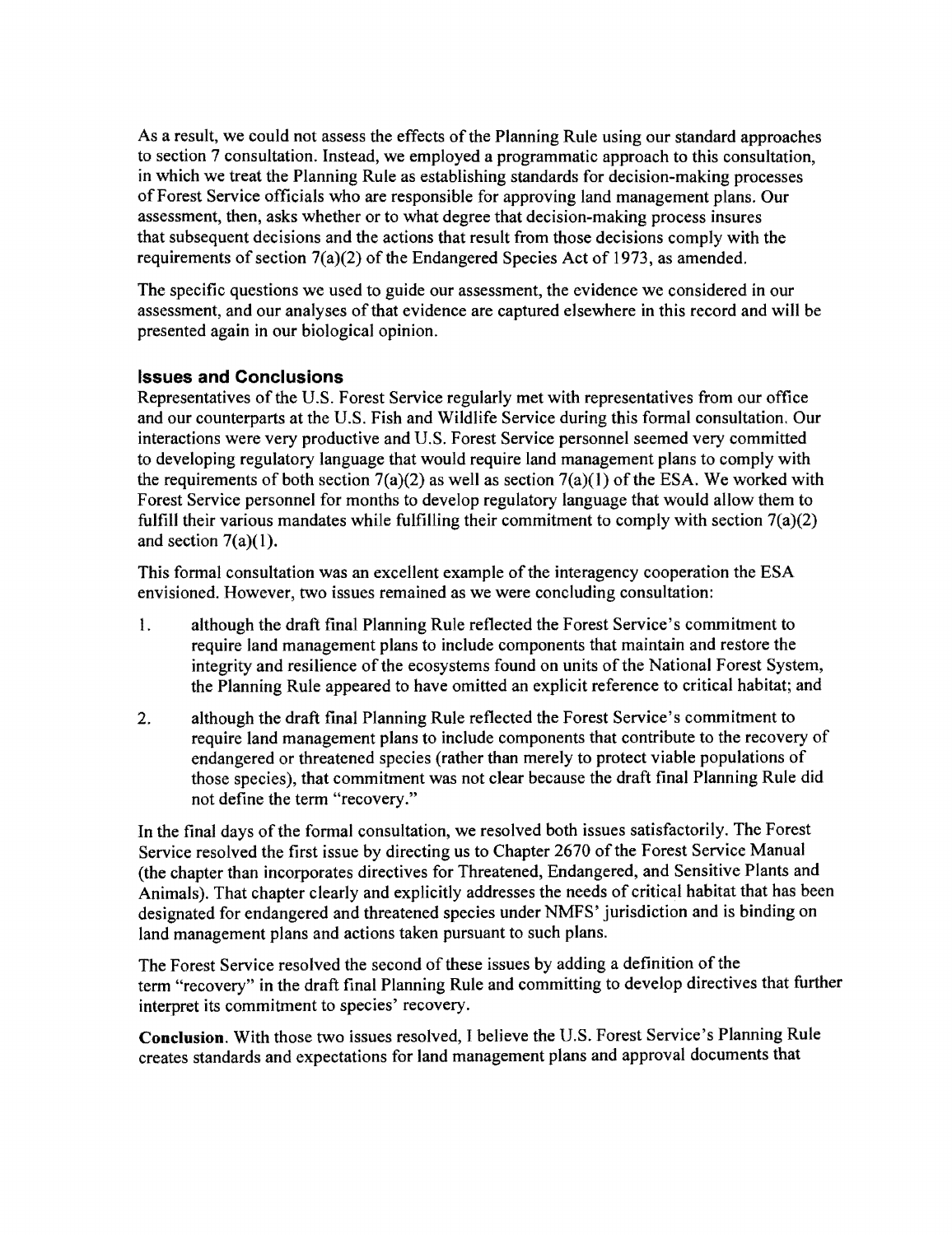As a result, we could not assess the effects of the Planning Rule using our standard approaches to section 7 consultation. Instead, we employed a programmatic approach to this consultation, in which we treat the Planning Rule as establishing standards for decision-making processes ofForest Service officials who are responsible for approving land management plans. Our assessment, then, asks whether or to what degree that decision-making process insures that subsequent decisions and the actions that result from those decisions comply with the requirements of section 7(a)(2) of the Endangered Species Act of 1973, as amended.

The specific questions we used to guide our assessment, the evidence we considered in our assessment, and our analyses of that evidence are captured elsewhere in this record and will be presented again in our biological opinion.

## **Issues and Conclusions**

Representatives of the U.S. Forest Service regularly met with representatives from our office and our counterparts at the U.S. Fish and Wildlife Service during this formal consultation. Our interactions were very productive and U.S. Forest Service personnel seemed very committed to developing regulatory language that would require land management plans to comply with the requirements of both section  $7(a)(2)$  as well as section  $7(a)(1)$  of the ESA. We worked with Forest Service personnel for months to develop regulatory language that would allow them to fulfill their various mandates while fulfilling their commitment to comply with section  $7(a)(2)$ and section  $7(a)(1)$ .

This formal consultation was an excellent example of the interagency cooperation the ESA envisioned. However, two issues remained as we were concluding consultation:

- 1. although the draft final Planning Rule reflected the Forest Service's commitment to require land management plans to include components that maintain and restore the integrity and resilience of the ecosystems found on units of the National Forest System, the Planning Rule appeared to have omitted an explicit reference to critical habitat; and
- 2. although the draft final Planning Rule reflected the Forest Service's commitment to require land management plans to include components that contribute to the recovery of endangered or threatened species (rather than merely to protect viable populations of those species), that commitment was not clear because the draft final Planning Rule did not define the term "recovery."

In the final days of the formal consultation, we resolved both issues satisfactorily. The Forest Service resolved the first issue by directing us to Chapter 2670 of the Forest Service Manual (the chapter than incorporates directives for Threatened, Endangered, and Sensitive Plants and Animals). That chapter clearly and explicitly addresses the needs of critical habitat that has been designated for endangered and threatened species under NMFS' jurisdiction and is binding on land management plans and actions taken pursuant to such plans.

The Forest Service resolved the second of these issues by adding a definition of the term "recovery" in the draft final Planning Rule and committing to develop directives that further interpret its commitment to species' recovery.

**Conclusion.** With those two issues resolved, I believe the U.S. Forest Service's Planning Rule creates standards and expectations for land management plans and approval documents that